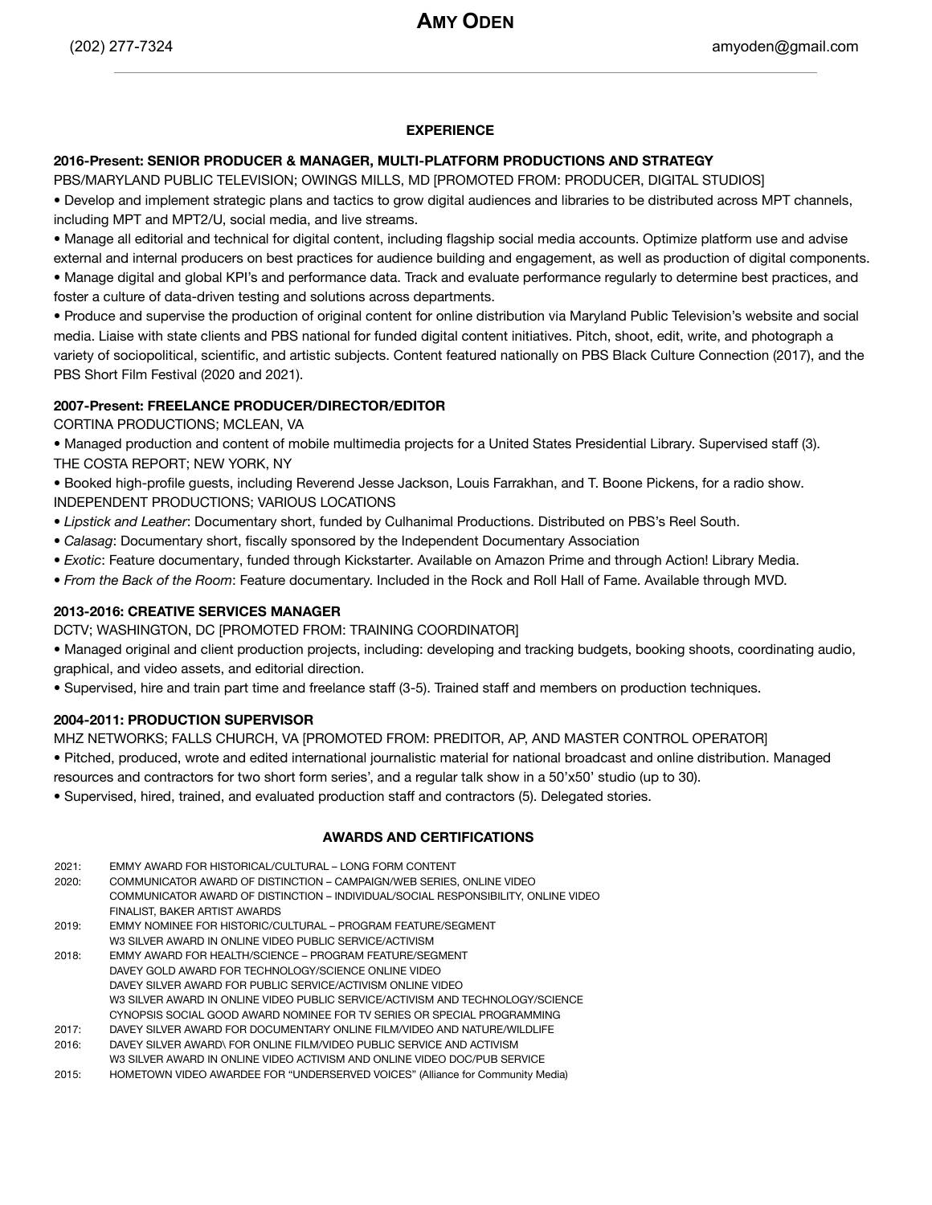### **EXPERIENCE**

## **2016-Present: SENIOR PRODUCER & MANAGER, MULTI-PLATFORM PRODUCTIONS AND STRATEGY**

PBS/MARYLAND PUBLIC TELEVISION; OWINGS MILLS, MD [PROMOTED FROM: PRODUCER, DIGITAL STUDIOS] • Develop and implement strategic plans and tactics to grow digital audiences and libraries to be distributed across MPT channels,

including MPT and MPT2/U, social media, and live streams.

• Manage all editorial and technical for digital content, including flagship social media accounts. Optimize platform use and advise external and internal producers on best practices for audience building and engagement, as well as production of digital components. • Manage digital and global KPI's and performance data. Track and evaluate performance regularly to determine best practices, and foster a culture of data-driven testing and solutions across departments.

• Produce and supervise the production of original content for online distribution via Maryland Public Television's website and social media. Liaise with state clients and PBS national for funded digital content initiatives. Pitch, shoot, edit, write, and photograph a variety of sociopolitical, scientific, and artistic subjects. Content featured nationally on PBS Black Culture Connection (2017), and the PBS Short Film Festival (2020 and 2021).

# **2007-Present: FREELANCE PRODUCER/DIRECTOR/EDITOR**

CORTINA PRODUCTIONS; MCLEAN, VA

• Managed production and content of mobile multimedia projects for a United States Presidential Library. Supervised staff (3). THE COSTA REPORT; NEW YORK, NY

• Booked high-profile guests, including Reverend Jesse Jackson, Louis Farrakhan, and T. Boone Pickens, for a radio show. INDEPENDENT PRODUCTIONS; VARIOUS LOCATIONS

- *Lipstick and Leather*: Documentary short, funded by Culhanimal Productions. Distributed on PBS's Reel South.
- *Calasag*: Documentary short, fiscally sponsored by the Independent Documentary Association
- *Exotic*: Feature documentary, funded through Kickstarter. Available on Amazon Prime and through Action! Library Media.
- *From the Back of the Room*: Feature documentary. Included in the Rock and Roll Hall of Fame. Available through MVD.

### **2013-2016: CREATIVE SERVICES MANAGER**

DCTV; WASHINGTON, DC [PROMOTED FROM: TRAINING COORDINATOR]

• Managed original and client production projects, including: developing and tracking budgets, booking shoots, coordinating audio, graphical, and video assets, and editorial direction.

• Supervised, hire and train part time and freelance staff (3-5). Trained staff and members on production techniques.

# **2004-2011: PRODUCTION SUPERVISOR**

MHZ NETWORKS; FALLS CHURCH, VA [PROMOTED FROM: PREDITOR, AP, AND MASTER CONTROL OPERATOR]

- Pitched, produced, wrote and edited international journalistic material for national broadcast and online distribution. Managed
- resources and contractors for two short form series', and a regular talk show in a 50'x50' studio (up to 30).

• Supervised, hired, trained, and evaluated production staff and contractors (5). Delegated stories.

# **AWARDS AND CERTIFICATIONS**

| 2021: | EMMY AWARD FOR HISTORICAL/CULTURAL – LONG FORM CONTENT                             |
|-------|------------------------------------------------------------------------------------|
| 2020: | COMMUNICATOR AWARD OF DISTINCTION - CAMPAIGN/WEB SERIES, ONLINE VIDEO              |
|       | COMMUNICATOR AWARD OF DISTINCTION - INDIVIDUAL/SOCIAL RESPONSIBILITY, ONLINE VIDEO |
|       | FINALIST, BAKER ARTIST AWARDS                                                      |
| 2019: | EMMY NOMINEE FOR HISTORIC/CULTURAL – PROGRAM FEATURE/SEGMENT                       |
|       | W3 SILVER AWARD IN ONLINE VIDEO PUBLIC SERVICE/ACTIVISM                            |
| 2018: | EMMY AWARD FOR HEALTH/SCIENCE – PROGRAM FEATURE/SEGMENT                            |
|       | DAVEY GOLD AWARD FOR TECHNOLOGY/SCIENCE ONLINE VIDEO                               |
|       | DAVEY SILVER AWARD FOR PUBLIC SERVICE/ACTIVISM ONLINE VIDEO                        |
|       | W3 SILVER AWARD IN ONLINE VIDEO PUBLIC SERVICE/ACTIVISM AND TECHNOLOGY/SCIENCE     |
|       | CYNOPSIS SOCIAL GOOD AWARD NOMINEE FOR TV SERIES OR SPECIAL PROGRAMMING            |
| 2017: | DAVEY SILVER AWARD FOR DOCUMENTARY ONLINE FILM/VIDEO AND NATURE/WILDLIFE           |
| 2016: | DAVEY SILVER AWARD\ FOR ONLINE FILM/VIDEO PUBLIC SERVICE AND ACTIVISM              |
|       | W3 SILVER AWARD IN ONLINE VIDEO ACTIVISM AND ONLINE VIDEO DOC/PUB SERVICE          |
| 2015: | HOMETOWN VIDEO AWARDEE FOR "UNDERSERVED VOICES" (Alliance for Community Media)     |
|       |                                                                                    |